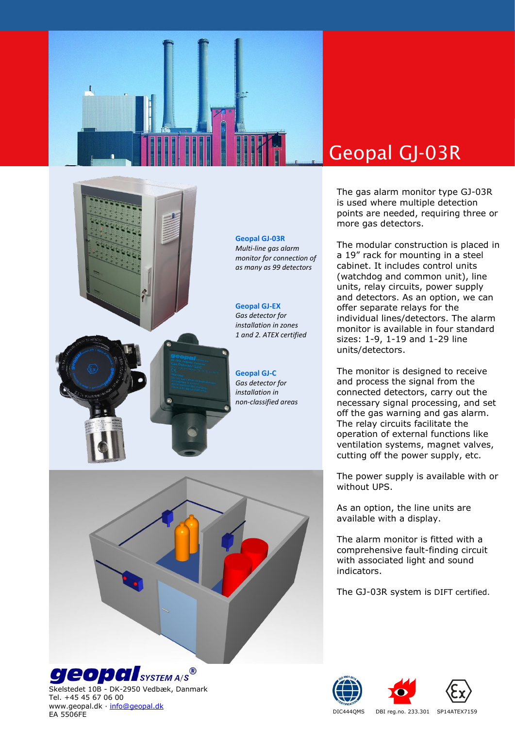

## Geopal GJ-03R

The gas alarm monitor type GJ-03R is used where multiple detection points are needed, requiring three or more gas detectors.

The modular construction is placed in a 19" rack for mounting in a steel cabinet. It includes control units (watchdog and common unit), line units, relay circuits, power supply and detectors. As an option, we can offer separate relays for the individual lines/detectors. The alarm monitor is available in four standard sizes: 1-9, 1-19 and 1-29 line units/detectors.

The monitor is designed to receive and process the signal from the connected detectors, carry out the necessary signal processing, and set off the gas warning and gas alarm. The relay circuits facilitate the operation of external functions like ventilation systems, magnet valves, cutting off the power supply, etc.

The power supply is available with or without UPS.

As an option, the line units are available with a display.

The alarm monitor is fitted with a comprehensive fault-finding circuit with associated light and sound indicators.

The GJ-03R system is DIFT certified.







DIC444QMS DBI reg.no. 233.301 SP14ATEX7159





**geopal**system A/S<sup>®</sup>

Skelstedet 10B - DK-2950 Vedbæk, Danmark Tel. +45 45 67 06 00 www.geopal.dk · [info@geopal.dk](mailto:info@geopal.dk) EA 5506FE